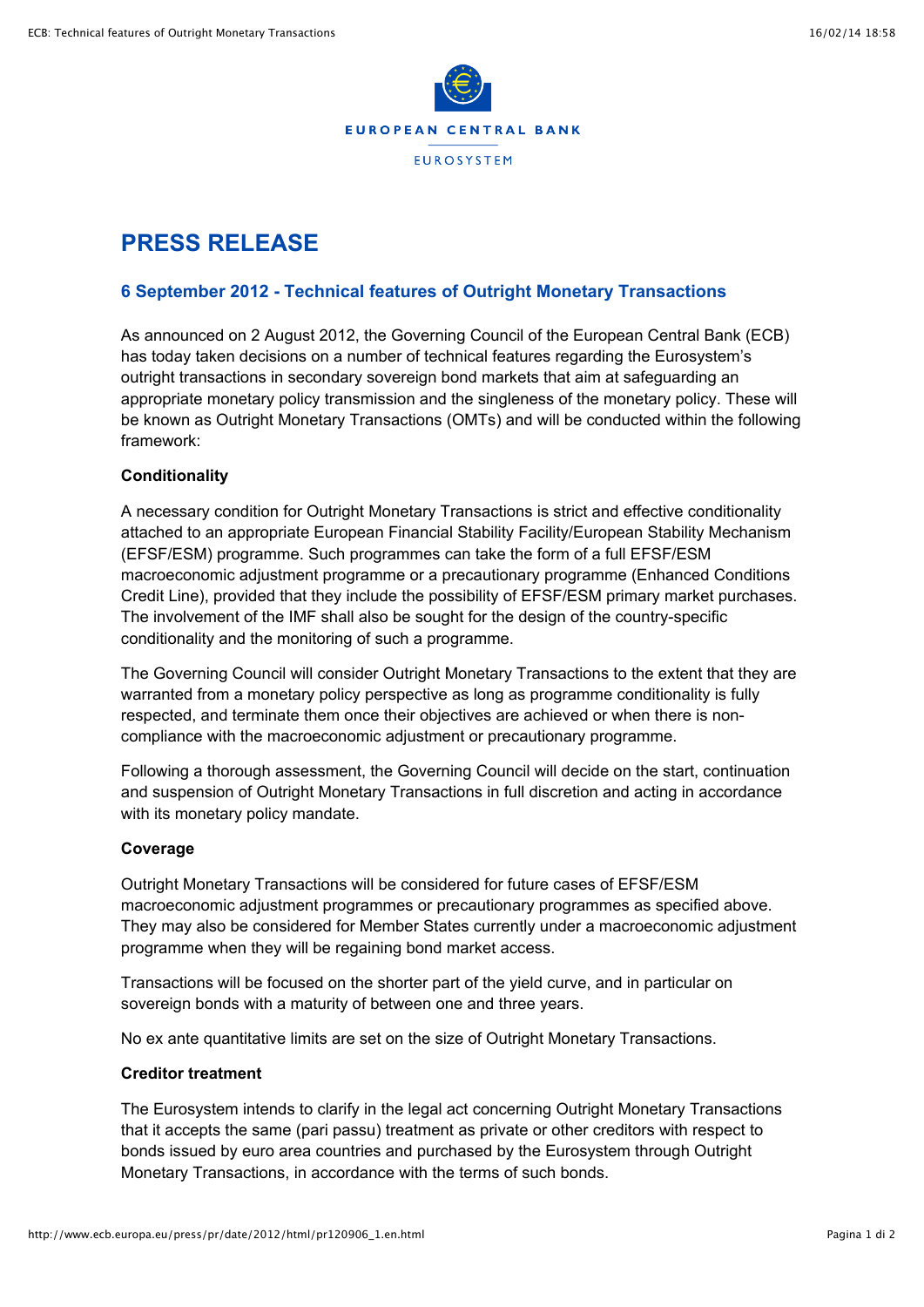

# **PRESS RELEASE**

## **6 September 2012 - Technical features of Outright Monetary Transactions**

As announced on 2 August 2012, the Governing Council of the European Central Bank (ECB) has today taken decisions on a number of technical features regarding the Eurosystem's outright transactions in secondary sovereign bond markets that aim at safeguarding an appropriate monetary policy transmission and the singleness of the monetary policy. These will be known as Outright Monetary Transactions (OMTs) and will be conducted within the following framework:

#### **Conditionality**

A necessary condition for Outright Monetary Transactions is strict and effective conditionality attached to an appropriate European Financial Stability Facility/European Stability Mechanism (EFSF/ESM) programme. Such programmes can take the form of a full EFSF/ESM macroeconomic adjustment programme or a precautionary programme (Enhanced Conditions Credit Line), provided that they include the possibility of EFSF/ESM primary market purchases. The involvement of the IMF shall also be sought for the design of the country-specific conditionality and the monitoring of such a programme.

The Governing Council will consider Outright Monetary Transactions to the extent that they are warranted from a monetary policy perspective as long as programme conditionality is fully respected, and terminate them once their objectives are achieved or when there is noncompliance with the macroeconomic adjustment or precautionary programme.

Following a thorough assessment, the Governing Council will decide on the start, continuation and suspension of Outright Monetary Transactions in full discretion and acting in accordance with its monetary policy mandate.

#### **Coverage**

Outright Monetary Transactions will be considered for future cases of EFSF/ESM macroeconomic adjustment programmes or precautionary programmes as specified above. They may also be considered for Member States currently under a macroeconomic adjustment programme when they will be regaining bond market access.

Transactions will be focused on the shorter part of the yield curve, and in particular on sovereign bonds with a maturity of between one and three years.

No ex ante quantitative limits are set on the size of Outright Monetary Transactions.

#### **Creditor treatment**

The Eurosystem intends to clarify in the legal act concerning Outright Monetary Transactions that it accepts the same (pari passu) treatment as private or other creditors with respect to bonds issued by euro area countries and purchased by the Eurosystem through Outright Monetary Transactions, in accordance with the terms of such bonds.